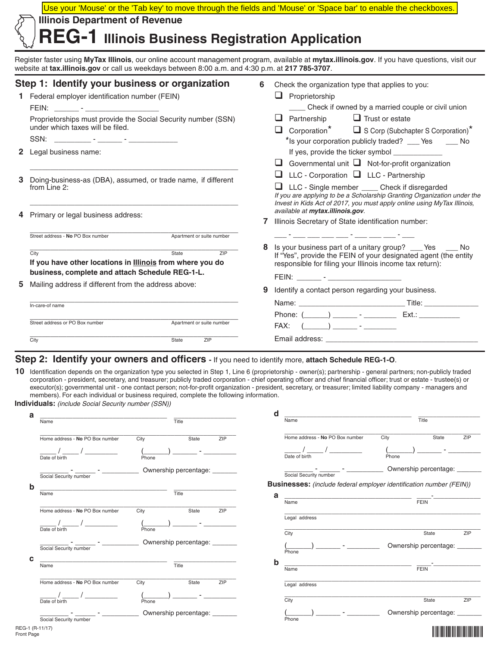|   | Use your 'Mouse' or the 'Tab key' to move through the fields and 'Mouse' or 'Space bar' to enable the checkboxes.<br><b>Illinois Department of Revenue</b><br>$REG-1$ Illinois Business Registration Application                                                                                                                                         |   |                                                                                                                                                                                                                                                                                                                                                                                                 |  |  |
|---|----------------------------------------------------------------------------------------------------------------------------------------------------------------------------------------------------------------------------------------------------------------------------------------------------------------------------------------------------------|---|-------------------------------------------------------------------------------------------------------------------------------------------------------------------------------------------------------------------------------------------------------------------------------------------------------------------------------------------------------------------------------------------------|--|--|
|   | Register faster using MyTax Illinois, our online account management program, available at mytax.illinois.gov. If you have questions, visit our<br>website at tax.illinois.gov or call us weekdays between 8:00 a.m. and 4:30 p.m. at 217 785-3707.                                                                                                       |   |                                                                                                                                                                                                                                                                                                                                                                                                 |  |  |
|   | Step 1: Identify your business or organization<br>1 Federal employer identification number (FEIN)<br>FEIN: _______ - _____________________<br>Proprietorships must provide the Social Security number (SSN)<br>under which taxes will be filed.<br>2 Legal business name:                                                                                | 6 | Check the organization type that applies to you:<br>$\Box$ Proprietorship<br>___ Check if owned by a married couple or civil union<br>$\Box$ Trust or estate<br>$\Box$ Partnership<br>$\Box$ Corporation <sup>*</sup> $\Box$ S Corp (Subchapter S Corporation) <sup>*</sup><br>*Is your corporation publicly traded? ____ Yes _____ No<br>If yes, provide the ticker symbol _____________       |  |  |
| 3 | Doing-business-as (DBA), assumed, or trade name, if different<br>from Line 2:<br>Primary or legal business address:                                                                                                                                                                                                                                      | 7 | Governmental unit $\Box$ Not-for-profit organization<br>LLC - Corporation LLC - Partnership<br>□ LLC - Single member _____ Check if disregarded<br>If you are applying to be a Scholarship Granting Organization under the<br>Invest in Kids Act of 2017, you must apply online using MyTax Illinois,<br>available at mytax.illinois.gov.<br>Illinois Secretary of State identification number: |  |  |
|   | Street address - No PO Box number<br>Apartment or suite number<br>State<br>ZIP<br>City<br>If you have other locations in <b>Illinois</b> from where you do<br>business, complete and attach Schedule REG-1-L.<br>Mailing address if different from the address above:<br>In-care-of name<br>Street address or PO Box number<br>Apartment or suite number | 9 | <u> 1954 - Johann Harrison, martin eta politikar</u><br>Is your business part of a unitary group? __ Yes __<br>No.<br>If "Yes", provide the FEIN of your designated agent (the entity<br>responsible for filing your Illinois income tax return):<br>FEIN: _______ - ________________________<br>Identify a contact person regarding your business.<br>Name: Title:<br>FAX:                     |  |  |
|   | City<br>ZIP<br>State                                                                                                                                                                                                                                                                                                                                     |   | Email address:                                                                                                                                                                                                                                                                                                                                                                                  |  |  |

### **Step 2: Identify your owners and officers -** If you need to identify more, **attach Schedule REG-1-O**.

10 Identification depends on the organization type you selected in Step 1, Line 6 (proprietorship - owner(s); partnership - general partners; non-publicly traded corporation - president, secretary, and treasurer; publicly traded corporation - chief operating officer and chief financial officer; trust or estate - trustee(s) or executor(s); governmental unit - one contact person; not-for-profit organization - president, secretary, or treasurer; limited liability company - managers and members). For each individual or business required, complete the following information.

**Individuals:** *(include Social Security number (SSN))*

|                                 |                               |     | d<br>Name                       | $\overline{Title}$                                                         |
|---------------------------------|-------------------------------|-----|---------------------------------|----------------------------------------------------------------------------|
| Name                            | $\overline{Title}$            |     |                                 |                                                                            |
| Home address - No PO Box number | City<br>State                 | ZIP | Home address - No PO Box number | City<br>State<br>ZIP                                                       |
| Date of birth                   |                               |     | Date of birth                   | Phone                                                                      |
|                                 | Phone                         |     |                                 |                                                                            |
| Social Security number          | Ownership percentage: _______ |     | Social Security number          | Ownership percentage: _______                                              |
|                                 |                               |     |                                 | <b>Businesses:</b> (include federal employer identification number (FEIN)) |
| Name                            | $\overline{\mathsf{Title}}$   |     | a                               |                                                                            |
|                                 |                               |     | Name                            | <b>FEIN</b>                                                                |
| Home address - No PO Box number | City<br>State                 | ZIP |                                 |                                                                            |
|                                 |                               |     | Legal address                   |                                                                            |
| Date of birth                   | Phone                         |     | City                            | ZIP<br>State                                                               |
|                                 | Ownership percentage: _______ |     |                                 | Ownership percentage: ______                                               |
| Social Security number          |                               |     | Phone                           |                                                                            |
| Name                            | Title                         |     | b                               |                                                                            |
|                                 |                               |     | Name                            | <b>FEIN</b>                                                                |
| Home address - No PO Box number | City<br>State                 | ZIP | Legal address                   |                                                                            |
|                                 |                               |     |                                 |                                                                            |
| Date of birth                   | Phone                         |     | City                            | State<br>ZIP                                                               |
|                                 | Ownership percentage: _______ |     |                                 | Ownership percentage: _______                                              |
| Social Security number          |                               |     | Phone                           |                                                                            |
| REG-1 (R-11/17)<br>Front Page   |                               |     |                                 |                                                                            |